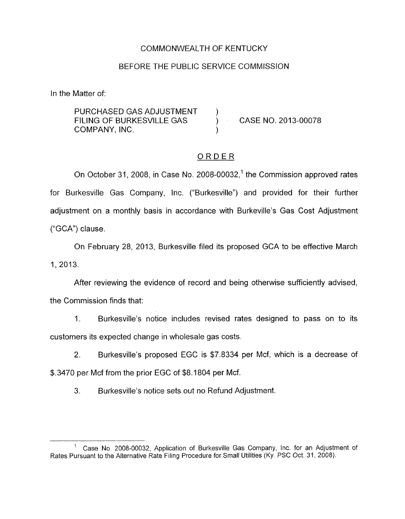## COMMONWEALTH OF KENTUCKY

### BEFORE THE PUBLIC SERVICE COMMISSION

In the Matter of:

PURCHASED GAS ADJUSTMENT FILING OF BURKESVILLE GAS  $\overrightarrow{)}$  CASE NO. 2013-00078 COMPANY, INC.

# ORDER

On October 31, 2008, in Case No. 2008-00032,<sup>1</sup> the Commission approved rates for Burkesville Gas Company, Inc. ("Burkesville") and provided for their further adjustment on a monthly basis in accordance with Burkeville's Gas Cost Adjustment ("GCA") clause.

On February 28, 2013, Burkesville filed its proposed GCA to be effective March 1, 2013.

After reviewing the evidence of record and being otherwise sufficiently advised, the Commission finds that:

1. Burkesville's notice includes revised rates designed to pass on to its customers its expected change in wholesale gas costs.

2. Burkesville's proposed EGC is \$7.8334 per Mcf, which is a decrease of \$.3470 per Mcf from the prior EGC of \$8.1804 per Mcf.

**3.** Burkesville's notice sets out no Refund Adjustment.

<sup>&</sup>lt;sup>1</sup> Case No. 2008-00032, Application of Burkesville Gas Company, Inc. for an Adjustment of Rates Pursuant to the Alternative Rate Filing Procedure for Small Utilities (Ky. PSC Oct. 31, 2008).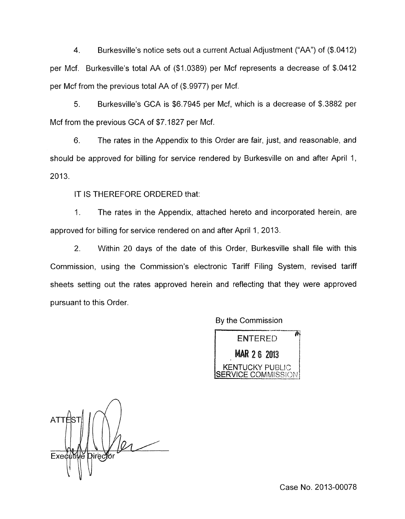4. Burkesville's notice sets out a current Actual Adjustment ("AA") of (\$.0412) per Mcf. Burkesville's total AA of (\$1.0389) per Mcf represents a decrease of \$.0412 per Mcf from the previous total AA of (\$.9977) per Mcf.

5. Burkesville's GCA is \$6.7945 per Mcf, which is a decrease of \$.3882 per Mcf from the previous GCA of \$7.1827 per Mcf.

6. The rates in the Appendix to this Order are fair, just, and reasonable, and should be approved for billing for service rendered by Burkesville on and after April 1,  $2013.$ 

IT IS THEREFORE ORDERED that:

1. The rates in the Appendix, attached hereto and incorporated herein, are approved for billing for service rendered on and after April 1, 2013.

2. Within 20 days of the date of this Order, Burkesville shall file with this Commission, using the Commission's electronic Tariff Filing System, revised tariff sheets setting out the rates approved herein and reflecting that they were approved pursuant to this Order.

By the Commission

 $\overline{\mathbb{A}}$ **ENTERED MAR 2 6 2013 KENTUCKY PUBLIC** 

**ATT** Executive Director

Case No. 2013-00078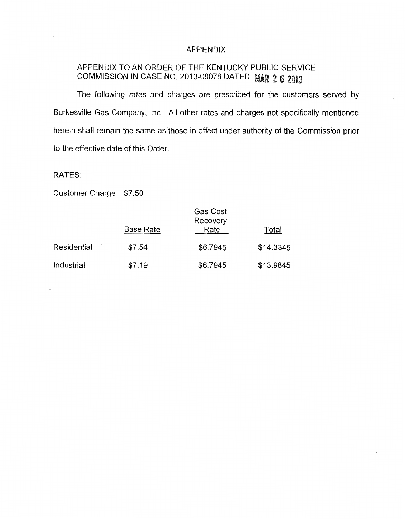#### APPENDIX

# APPENDIX TO AN ORDER OF THE KENTUCKY PUBLIC SERVICE COMMISSION IN CASE NO. 2013-00078 DATED MAR 2 6 2013

The following rates and charges are prescribed for the customers served by Burkesville Gas Company, Inc. All other rates and charges not specifically mentioned herein shall remain the same as those in effect under authority of the Commission prior to the effective date of this Order.

RATES:

Customer Charge \$7.50

|             | <b>Base Rate</b> | Gas Cost<br>Recovery<br>Rate | Total     |
|-------------|------------------|------------------------------|-----------|
| Residential | \$7.54           | \$6.7945                     | \$14.3345 |
| Industrial  | \$7.19           | \$6.7945                     | \$13.9845 |